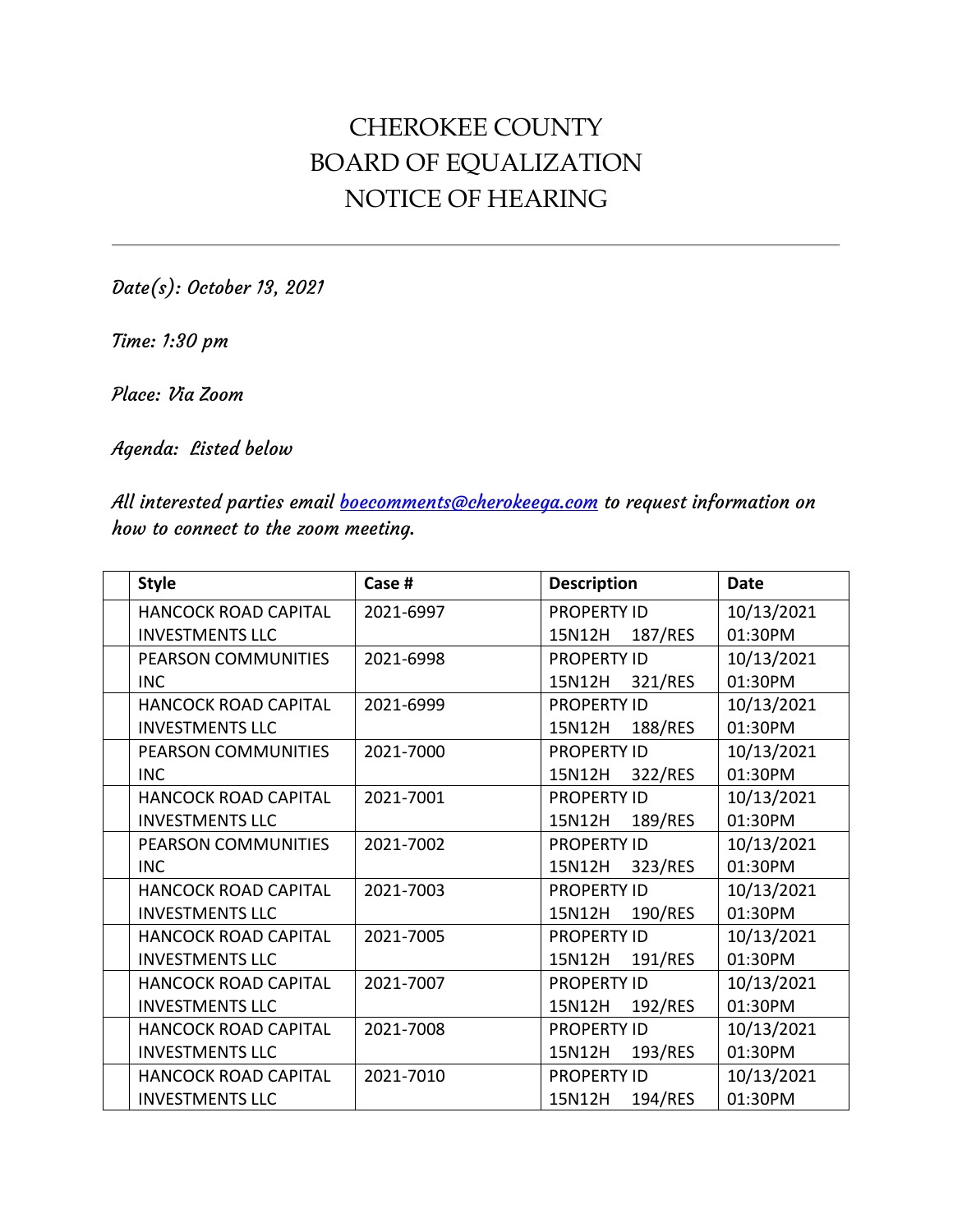## CHEROKEE COUNTY BOARD OF EQUALIZATION NOTICE OF HEARING

Date(s): October 13, 2021

Time: 1:30 pm

Place: Via Zoom

Agenda: Listed below

All interested parties email **boecomments@cherokeega.com** to request information on how to connect to the zoom meeting.

| <b>Style</b>                | Case #    | <b>Description</b> | <b>Date</b> |
|-----------------------------|-----------|--------------------|-------------|
| <b>HANCOCK ROAD CAPITAL</b> | 2021-6997 | <b>PROPERTY ID</b> | 10/13/2021  |
| <b>INVESTMENTS LLC</b>      |           | 187/RES<br>15N12H  | 01:30PM     |
| PEARSON COMMUNITIES         | 2021-6998 | <b>PROPERTY ID</b> | 10/13/2021  |
| <b>INC</b>                  |           | 15N12H<br>321/RES  | 01:30PM     |
| <b>HANCOCK ROAD CAPITAL</b> | 2021-6999 | <b>PROPERTY ID</b> | 10/13/2021  |
| <b>INVESTMENTS LLC</b>      |           | 188/RES<br>15N12H  | 01:30PM     |
| PEARSON COMMUNITIES         | 2021-7000 | <b>PROPERTY ID</b> | 10/13/2021  |
| <b>INC</b>                  |           | 322/RES<br>15N12H  | 01:30PM     |
| <b>HANCOCK ROAD CAPITAL</b> | 2021-7001 | <b>PROPERTY ID</b> | 10/13/2021  |
| <b>INVESTMENTS LLC</b>      |           | 189/RES<br>15N12H  | 01:30PM     |
| <b>PEARSON COMMUNITIES</b>  | 2021-7002 | <b>PROPERTY ID</b> | 10/13/2021  |
| <b>INC</b>                  |           | 323/RES<br>15N12H  | 01:30PM     |
| HANCOCK ROAD CAPITAL        | 2021-7003 | <b>PROPERTY ID</b> | 10/13/2021  |
| <b>INVESTMENTS LLC</b>      |           | 190/RES<br>15N12H  | 01:30PM     |
| <b>HANCOCK ROAD CAPITAL</b> | 2021-7005 | <b>PROPERTY ID</b> | 10/13/2021  |
| <b>INVESTMENTS LLC</b>      |           | 191/RES<br>15N12H  | 01:30PM     |
| <b>HANCOCK ROAD CAPITAL</b> | 2021-7007 | <b>PROPERTY ID</b> | 10/13/2021  |
| <b>INVESTMENTS LLC</b>      |           | 192/RES<br>15N12H  | 01:30PM     |
| <b>HANCOCK ROAD CAPITAL</b> | 2021-7008 | <b>PROPERTY ID</b> | 10/13/2021  |
| <b>INVESTMENTS LLC</b>      |           | 15N12H<br>193/RES  | 01:30PM     |
| <b>HANCOCK ROAD CAPITAL</b> | 2021-7010 | <b>PROPERTY ID</b> | 10/13/2021  |
| <b>INVESTMENTS LLC</b>      |           | 194/RES<br>15N12H  | 01:30PM     |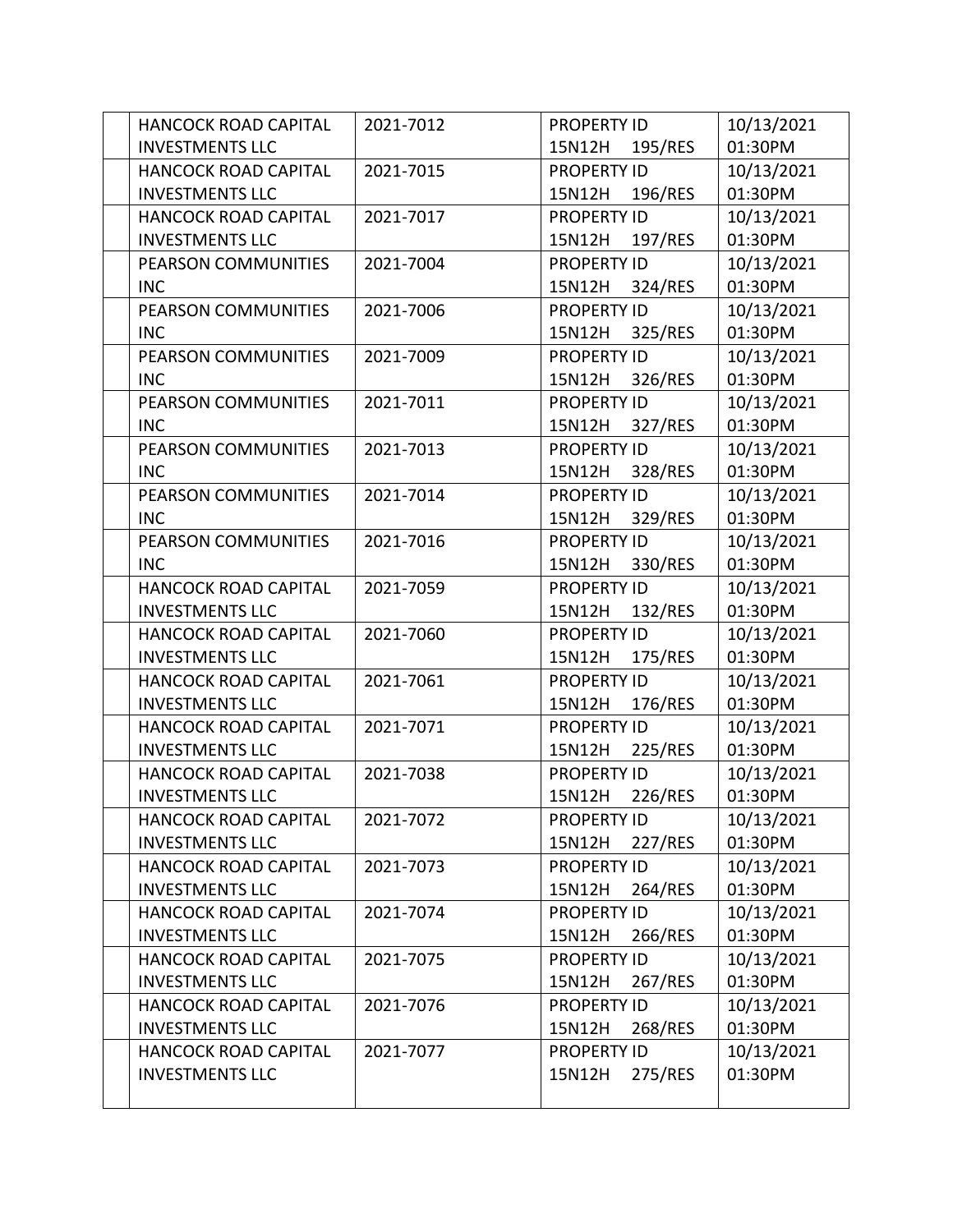| <b>HANCOCK ROAD CAPITAL</b> | 2021-7012 | <b>PROPERTY ID</b> | 10/13/2021 |
|-----------------------------|-----------|--------------------|------------|
| <b>INVESTMENTS LLC</b>      |           | 195/RES<br>15N12H  | 01:30PM    |
| <b>HANCOCK ROAD CAPITAL</b> | 2021-7015 | <b>PROPERTY ID</b> | 10/13/2021 |
| <b>INVESTMENTS LLC</b>      |           | 15N12H<br>196/RES  | 01:30PM    |
| <b>HANCOCK ROAD CAPITAL</b> | 2021-7017 | <b>PROPERTY ID</b> | 10/13/2021 |
| <b>INVESTMENTS LLC</b>      |           | 197/RES<br>15N12H  | 01:30PM    |
| PEARSON COMMUNITIES         | 2021-7004 | <b>PROPERTY ID</b> | 10/13/2021 |
| <b>INC</b>                  |           | 324/RES<br>15N12H  | 01:30PM    |
| PEARSON COMMUNITIES         | 2021-7006 | <b>PROPERTY ID</b> | 10/13/2021 |
| <b>INC</b>                  |           | 325/RES<br>15N12H  | 01:30PM    |
| PEARSON COMMUNITIES         | 2021-7009 | <b>PROPERTY ID</b> | 10/13/2021 |
| <b>INC</b>                  |           | 326/RES<br>15N12H  | 01:30PM    |
| PEARSON COMMUNITIES         | 2021-7011 | <b>PROPERTY ID</b> | 10/13/2021 |
| <b>INC</b>                  |           | 15N12H<br>327/RES  | 01:30PM    |
| PEARSON COMMUNITIES         | 2021-7013 | <b>PROPERTY ID</b> | 10/13/2021 |
| <b>INC</b>                  |           | 328/RES<br>15N12H  | 01:30PM    |
| PEARSON COMMUNITIES         | 2021-7014 | <b>PROPERTY ID</b> | 10/13/2021 |
| <b>INC</b>                  |           | 15N12H<br>329/RES  | 01:30PM    |
| PEARSON COMMUNITIES         | 2021-7016 | <b>PROPERTY ID</b> | 10/13/2021 |
| <b>INC</b>                  |           | 330/RES<br>15N12H  | 01:30PM    |
| <b>HANCOCK ROAD CAPITAL</b> | 2021-7059 | <b>PROPERTY ID</b> | 10/13/2021 |
| <b>INVESTMENTS LLC</b>      |           | 15N12H<br>132/RES  | 01:30PM    |
| <b>HANCOCK ROAD CAPITAL</b> | 2021-7060 | <b>PROPERTY ID</b> | 10/13/2021 |
| <b>INVESTMENTS LLC</b>      |           | 15N12H<br>175/RES  | 01:30PM    |
| <b>HANCOCK ROAD CAPITAL</b> | 2021-7061 | <b>PROPERTY ID</b> | 10/13/2021 |
| <b>INVESTMENTS LLC</b>      |           | 15N12H<br>176/RES  | 01:30PM    |
| <b>HANCOCK ROAD CAPITAL</b> | 2021-7071 | <b>PROPERTY ID</b> | 10/13/2021 |
| <b>INVESTMENTS LLC</b>      |           | 15N12H<br>225/RES  | 01:30PM    |
| HANCOCK ROAD CAPITAL        | 2021-7038 | <b>PROPERTY ID</b> | 10/13/2021 |
| <b>INVESTMENTS LLC</b>      |           | 226/RES<br>15N12H  | 01:30PM    |
| <b>HANCOCK ROAD CAPITAL</b> | 2021-7072 | <b>PROPERTY ID</b> | 10/13/2021 |
| <b>INVESTMENTS LLC</b>      |           | 15N12H<br>227/RES  | 01:30PM    |
| <b>HANCOCK ROAD CAPITAL</b> | 2021-7073 | <b>PROPERTY ID</b> | 10/13/2021 |
| <b>INVESTMENTS LLC</b>      |           | 15N12H<br>264/RES  | 01:30PM    |
| HANCOCK ROAD CAPITAL        | 2021-7074 | <b>PROPERTY ID</b> | 10/13/2021 |
| <b>INVESTMENTS LLC</b>      |           | 266/RES<br>15N12H  | 01:30PM    |
| HANCOCK ROAD CAPITAL        | 2021-7075 | PROPERTY ID        | 10/13/2021 |
| <b>INVESTMENTS LLC</b>      |           | 267/RES<br>15N12H  | 01:30PM    |
| HANCOCK ROAD CAPITAL        | 2021-7076 | <b>PROPERTY ID</b> | 10/13/2021 |
| <b>INVESTMENTS LLC</b>      |           | 15N12H<br>268/RES  | 01:30PM    |
| HANCOCK ROAD CAPITAL        | 2021-7077 | <b>PROPERTY ID</b> | 10/13/2021 |
| <b>INVESTMENTS LLC</b>      |           | 275/RES<br>15N12H  | 01:30PM    |
|                             |           |                    |            |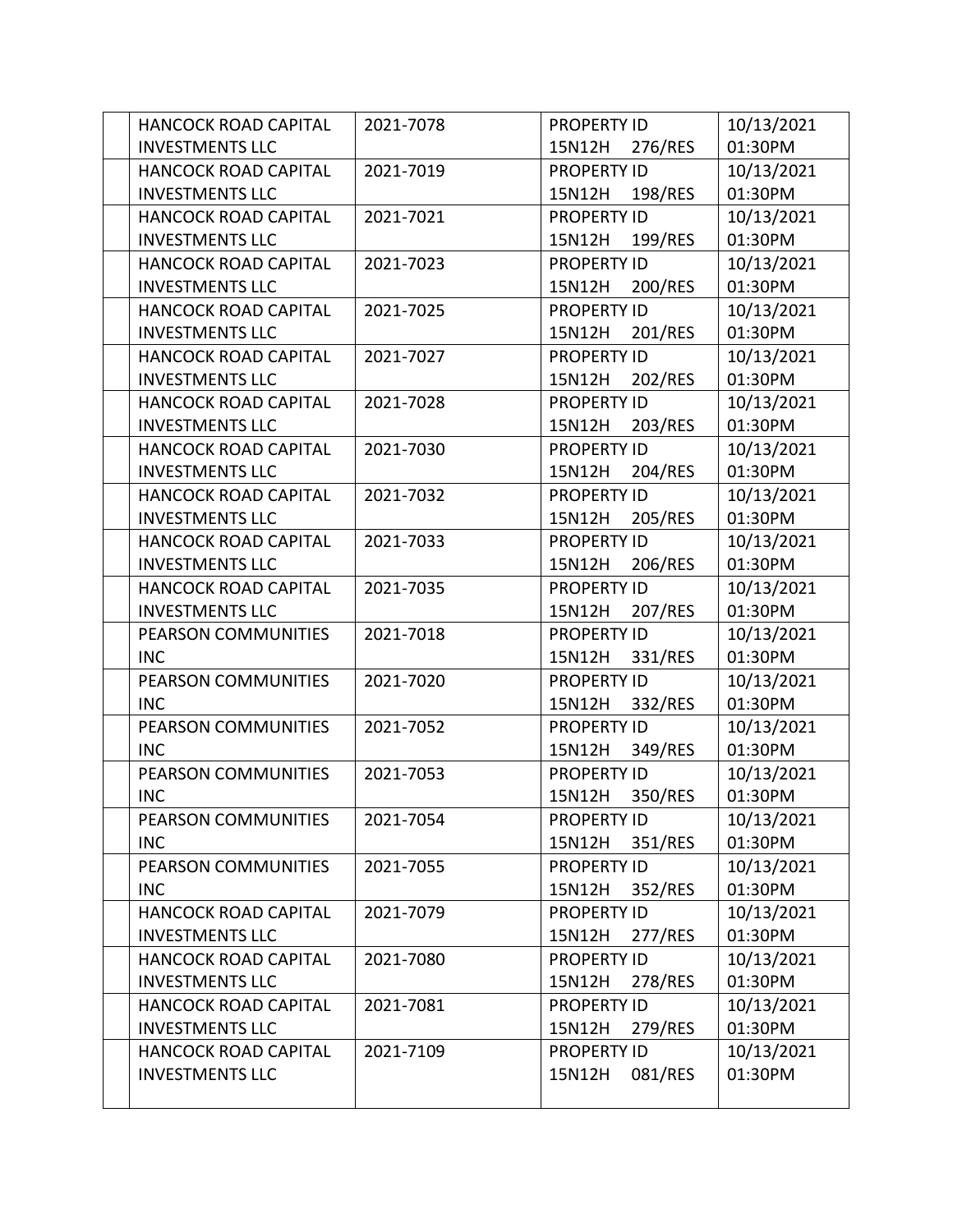| <b>HANCOCK ROAD CAPITAL</b> | 2021-7078 | <b>PROPERTY ID</b> | 10/13/2021 |
|-----------------------------|-----------|--------------------|------------|
| <b>INVESTMENTS LLC</b>      |           | 15N12H<br>276/RES  | 01:30PM    |
| <b>HANCOCK ROAD CAPITAL</b> | 2021-7019 | <b>PROPERTY ID</b> | 10/13/2021 |
| <b>INVESTMENTS LLC</b>      |           | 15N12H<br>198/RES  | 01:30PM    |
| <b>HANCOCK ROAD CAPITAL</b> | 2021-7021 | <b>PROPERTY ID</b> | 10/13/2021 |
| <b>INVESTMENTS LLC</b>      |           | 199/RES<br>15N12H  | 01:30PM    |
| <b>HANCOCK ROAD CAPITAL</b> | 2021-7023 | <b>PROPERTY ID</b> | 10/13/2021 |
| <b>INVESTMENTS LLC</b>      |           | 200/RES<br>15N12H  | 01:30PM    |
| <b>HANCOCK ROAD CAPITAL</b> | 2021-7025 | <b>PROPERTY ID</b> | 10/13/2021 |
| <b>INVESTMENTS LLC</b>      |           | 201/RES<br>15N12H  | 01:30PM    |
| <b>HANCOCK ROAD CAPITAL</b> | 2021-7027 | <b>PROPERTY ID</b> | 10/13/2021 |
| <b>INVESTMENTS LLC</b>      |           | 202/RES<br>15N12H  | 01:30PM    |
| <b>HANCOCK ROAD CAPITAL</b> | 2021-7028 | <b>PROPERTY ID</b> | 10/13/2021 |
| <b>INVESTMENTS LLC</b>      |           | 203/RES<br>15N12H  | 01:30PM    |
| <b>HANCOCK ROAD CAPITAL</b> | 2021-7030 | <b>PROPERTY ID</b> | 10/13/2021 |
| <b>INVESTMENTS LLC</b>      |           | 204/RES<br>15N12H  | 01:30PM    |
| <b>HANCOCK ROAD CAPITAL</b> | 2021-7032 | <b>PROPERTY ID</b> | 10/13/2021 |
| <b>INVESTMENTS LLC</b>      |           | 205/RES<br>15N12H  | 01:30PM    |
| <b>HANCOCK ROAD CAPITAL</b> | 2021-7033 | <b>PROPERTY ID</b> | 10/13/2021 |
| <b>INVESTMENTS LLC</b>      |           | 206/RES<br>15N12H  | 01:30PM    |
| <b>HANCOCK ROAD CAPITAL</b> | 2021-7035 | <b>PROPERTY ID</b> | 10/13/2021 |
| <b>INVESTMENTS LLC</b>      |           | 15N12H<br>207/RES  | 01:30PM    |
| PEARSON COMMUNITIES         | 2021-7018 | <b>PROPERTY ID</b> | 10/13/2021 |
| <b>INC</b>                  |           | 331/RES<br>15N12H  | 01:30PM    |
| PEARSON COMMUNITIES         | 2021-7020 | <b>PROPERTY ID</b> | 10/13/2021 |
| <b>INC</b>                  |           | 15N12H<br>332/RES  | 01:30PM    |
| <b>PEARSON COMMUNITIES</b>  | 2021-7052 | <b>PROPERTY ID</b> | 10/13/2021 |
| <b>INC</b>                  |           | 15N12H<br>349/RES  | 01:30PM    |
| PEARSON COMMUNITIES         | 2021-7053 | <b>PROPERTY ID</b> | 10/13/2021 |
| <b>INC</b>                  |           | 350/RES<br>15N12H  | 01:30PM    |
| PEARSON COMMUNITIES         | 2021-7054 | <b>PROPERTY ID</b> | 10/13/2021 |
| <b>INC</b>                  |           | 15N12H<br>351/RES  | 01:30PM    |
| PEARSON COMMUNITIES         | 2021-7055 | <b>PROPERTY ID</b> | 10/13/2021 |
| <b>INC</b>                  |           | 15N12H<br>352/RES  | 01:30PM    |
| HANCOCK ROAD CAPITAL        | 2021-7079 | <b>PROPERTY ID</b> | 10/13/2021 |
| <b>INVESTMENTS LLC</b>      |           | 277/RES<br>15N12H  | 01:30PM    |
| HANCOCK ROAD CAPITAL        | 2021-7080 | <b>PROPERTY ID</b> | 10/13/2021 |
| <b>INVESTMENTS LLC</b>      |           | 278/RES<br>15N12H  | 01:30PM    |
| HANCOCK ROAD CAPITAL        | 2021-7081 | <b>PROPERTY ID</b> | 10/13/2021 |
| <b>INVESTMENTS LLC</b>      |           | 279/RES<br>15N12H  | 01:30PM    |
| HANCOCK ROAD CAPITAL        | 2021-7109 | <b>PROPERTY ID</b> | 10/13/2021 |
| <b>INVESTMENTS LLC</b>      |           | 081/RES<br>15N12H  | 01:30PM    |
|                             |           |                    |            |